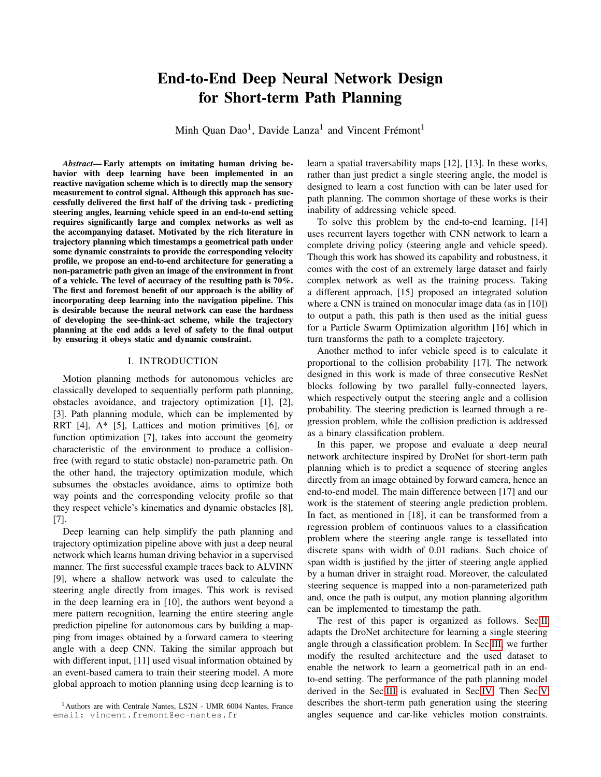# End-to-End Deep Neural Network Design for Short-term Path Planning

Minh Quan Dao<sup>1</sup>, Davide Lanza<sup>1</sup> and Vincent Frémont<sup>1</sup>

*Abstract*— Early attempts on imitating human driving behavior with deep learning have been implemented in an reactive navigation scheme which is to directly map the sensory measurement to control signal. Although this approach has successfully delivered the first half of the driving task - predicting steering angles, learning vehicle speed in an end-to-end setting requires significantly large and complex networks as well as the accompanying dataset. Motivated by the rich literature in trajectory planning which timestamps a geometrical path under some dynamic constraints to provide the corresponding velocity profile, we propose an end-to-end architecture for generating a non-parametric path given an image of the environment in front of a vehicle. The level of accuracy of the resulting path is 70%. The first and foremost benefit of our approach is the ability of incorporating deep learning into the navigation pipeline. This is desirable because the neural network can ease the hardness of developing the see-think-act scheme, while the trajectory planning at the end adds a level of safety to the final output by ensuring it obeys static and dynamic constraint.

## I. INTRODUCTION

Motion planning methods for autonomous vehicles are classically developed to sequentially perform path planning, obstacles avoidance, and trajectory optimization [1], [2], [3]. Path planning module, which can be implemented by RRT [4], A\* [5], Lattices and motion primitives [6], or function optimization [7], takes into account the geometry characteristic of the environment to produce a collisionfree (with regard to static obstacle) non-parametric path. On the other hand, the trajectory optimization module, which subsumes the obstacles avoidance, aims to optimize both way points and the corresponding velocity profile so that they respect vehicle's kinematics and dynamic obstacles [8], [7].

Deep learning can help simplify the path planning and trajectory optimization pipeline above with just a deep neural network which learns human driving behavior in a supervised manner. The first successful example traces back to ALVINN [9], where a shallow network was used to calculate the steering angle directly from images. This work is revised in the deep learning era in [10], the authors went beyond a mere pattern recognition, learning the entire steering angle prediction pipeline for autonomous cars by building a mapping from images obtained by a forward camera to steering angle with a deep CNN. Taking the similar approach but with different input, [11] used visual information obtained by an event-based camera to train their steering model. A more global approach to motion planning using deep learning is to

learn a spatial traversability maps [12], [13]. In these works, rather than just predict a single steering angle, the model is designed to learn a cost function with can be later used for path planning. The common shortage of these works is their inability of addressing vehicle speed.

To solve this problem by the end-to-end learning, [14] uses recurrent layers together with CNN network to learn a complete driving policy (steering angle and vehicle speed). Though this work has showed its capability and robustness, it comes with the cost of an extremely large dataset and fairly complex network as well as the training process. Taking a different approach, [15] proposed an integrated solution where a CNN is trained on monocular image data (as in [10]) to output a path, this path is then used as the initial guess for a Particle Swarm Optimization algorithm [16] which in turn transforms the path to a complete trajectory.

Another method to infer vehicle speed is to calculate it proportional to the collision probability [17]. The network designed in this work is made of three consecutive ResNet blocks following by two parallel fully-connected layers, which respectively output the steering angle and a collision probability. The steering prediction is learned through a regression problem, while the collision prediction is addressed as a binary classification problem.

In this paper, we propose and evaluate a deep neural network architecture inspired by DroNet for short-term path planning which is to predict a sequence of steering angles directly from an image obtained by forward camera, hence an end-to-end model. The main difference between [17] and our work is the statement of steering angle prediction problem. In fact, as mentioned in [18], it can be transformed from a regression problem of continuous values to a classification problem where the steering angle range is tessellated into discrete spans with width of 0.01 radians. Such choice of span width is justified by the jitter of steering angle applied by a human driver in straight road. Moreover, the calculated steering sequence is mapped into a non-parameterized path and, once the path is output, any motion planning algorithm can be implemented to timestamp the path.

The rest of this paper is organized as follows. Sec[.II](#page-1-0) adapts the DroNet architecture for learning a single steering angle through a classification problem. In Sec[.III,](#page-1-1) we further modify the resulted architecture and the used dataset to enable the network to learn a geometrical path in an endto-end setting. The performance of the path planning model derived in the Sec[.III](#page-1-1) is evaluated in Sec[.IV.](#page-2-0) Then Sec[.V](#page-3-0) describes the short-term path generation using the steering angles sequence and car-like vehicles motion constraints.

<sup>1</sup>Authors are with Centrale Nantes, LS2N - UMR 6004 Nantes, France email: vincent.fremont@ec-nantes.fr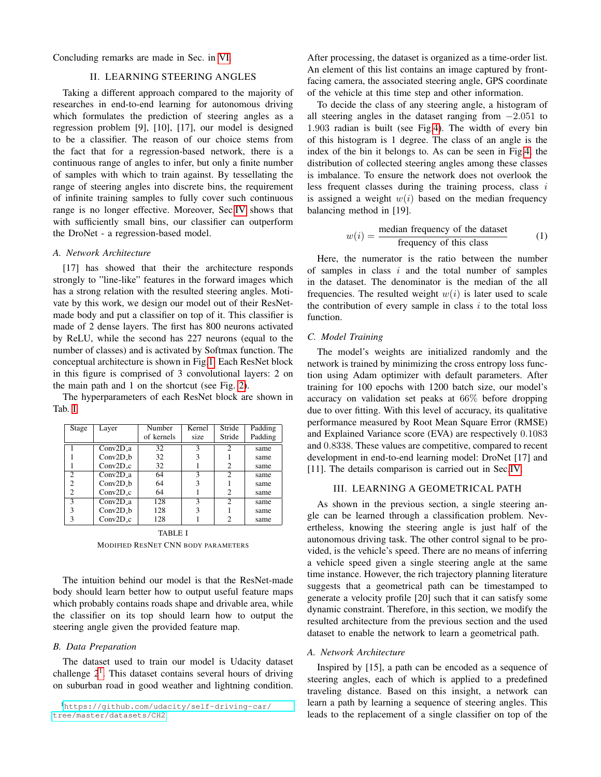<span id="page-1-0"></span>Concluding remarks are made in Sec. in [VI.](#page-4-0)

### II. LEARNING STEERING ANGLES

Taking a different approach compared to the majority of researches in end-to-end learning for autonomous driving which formulates the prediction of steering angles as a regression problem [9], [10], [17], our model is designed to be a classifier. The reason of our choice stems from the fact that for a regression-based network, there is a continuous range of angles to infer, but only a finite number of samples with which to train against. By tessellating the range of steering angles into discrete bins, the requirement of infinite training samples to fully cover such continuous range is no longer effective. Moreover, Sec[.IV](#page-2-0) shows that with sufficiently small bins, our classifier can outperform the DroNet - a regression-based model.

#### *A. Network Architecture*

[17] has showed that their the architecture responds strongly to "line-like" features in the forward images which has a strong relation with the resulted steering angles. Motivate by this work, we design our model out of their ResNetmade body and put a classifier on top of it. This classifier is made of 2 dense layers. The first has 800 neurons activated by ReLU, while the second has 227 neurons (equal to the number of classes) and is activated by Softmax function. The conceptual architecture is shown in Fig[.1.](#page-2-1) Each ResNet block in this figure is comprised of 3 convolutional layers: 2 on the main path and 1 on the shortcut (see Fig. [2\)](#page-2-2).

The hyperparameters of each ResNet block are shown in Tab. [I.](#page-1-2)

| Stage          | Layer      | Number     | Kernel | Stride        | Padding |  |
|----------------|------------|------------|--------|---------------|---------|--|
|                |            | of kernels | size   | Stride        | Padding |  |
|                | $Conv2D_a$ | 32         | 3      | $\mathcal{D}$ | same    |  |
|                | $Conv2D_b$ | 32         | 3      |               | same    |  |
|                | $Conv2D_c$ | 32         |        | 2             | same    |  |
| $\mathfrak{D}$ | Conv2D a   | 64         | ٩      | 2             | same    |  |
| 2              | Conv2D h   | 64         | 3      |               | same    |  |
| $\overline{c}$ | $Conv2D_c$ | 64         |        | 2             | same    |  |
| $\mathcal{R}$  | $Conv2D_a$ | 128        | 3      | 2             | same    |  |
| 3              | $Conv2D_h$ | 128        | 3      |               | same    |  |
| 3              | $Conv2D_c$ | 128        |        | 2             | same    |  |
| TABLE I        |            |            |        |               |         |  |

MODIFIED RESNET CNN BODY PARAMETERS

<span id="page-1-2"></span>The intuition behind our model is that the ResNet-made body should learn better how to output useful feature maps which probably contains roads shape and drivable area, while the classifier on its top should learn how to output the steering angle given the provided feature map.

# *B. Data Preparation*

The dataset used to train our model is Udacity dataset challenge  $2<sup>1</sup>$  $2<sup>1</sup>$  $2<sup>1</sup>$ . This dataset contains several hours of driving on suburban road in good weather and lightning condition.

<span id="page-1-3"></span><sup>1</sup>[https://github.com/udacity/self-driving-car/](https://github.com/udacity/self-driving-car/tree/master/datasets/CH2) [tree/master/datasets/CH2](https://github.com/udacity/self-driving-car/tree/master/datasets/CH2)

After processing, the dataset is organized as a time-order list. An element of this list contains an image captured by frontfacing camera, the associated steering angle, GPS coordinate of the vehicle at this time step and other information.

To decide the class of any steering angle, a histogram of all steering angles in the dataset ranging from −2.051 to 1.903 radian is built (see Fig[.4\)](#page-3-1). The width of every bin of this histogram is 1 degree. The class of an angle is the index of the bin it belongs to. As can be seen in Fig[.4,](#page-3-1) the distribution of collected steering angles among these classes is imbalance. To ensure the network does not overlook the less frequent classes during the training process, class  $i$ is assigned a weight  $w(i)$  based on the median frequency balancing method in [19].

$$
w(i) = \frac{\text{median frequency of the dataset}}{\text{frequency of this class}} \tag{1}
$$

Here, the numerator is the ratio between the number of samples in class  $i$  and the total number of samples in the dataset. The denominator is the median of the all frequencies. The resulted weight  $w(i)$  is later used to scale the contribution of every sample in class  $i$  to the total loss function.

## *C. Model Training*

The model's weights are initialized randomly and the network is trained by minimizing the cross entropy loss function using Adam optimizer with default parameters. After training for 100 epochs with 1200 batch size, our model's accuracy on validation set peaks at 66% before dropping due to over fitting. With this level of accuracy, its qualitative performance measured by Root Mean Square Error (RMSE) and Explained Variance score (EVA) are respectively 0.1083 and 0.8338. These values are competitive, compared to recent development in end-to-end learning model: DroNet [17] and [11]. The details comparison is carried out in Sec[.IV.](#page-2-0)

# III. LEARNING A GEOMETRICAL PATH

<span id="page-1-1"></span>As shown in the previous section, a single steering angle can be learned through a classification problem. Nevertheless, knowing the steering angle is just half of the autonomous driving task. The other control signal to be provided, is the vehicle's speed. There are no means of inferring a vehicle speed given a single steering angle at the same time instance. However, the rich trajectory planning literature suggests that a geometrical path can be timestamped to generate a velocity profile [20] such that it can satisfy some dynamic constraint. Therefore, in this section, we modify the resulted architecture from the previous section and the used dataset to enable the network to learn a geometrical path.

#### *A. Network Architecture*

Inspired by [15], a path can be encoded as a sequence of steering angles, each of which is applied to a predefined traveling distance. Based on this insight, a network can learn a path by learning a sequence of steering angles. This leads to the replacement of a single classifier on top of the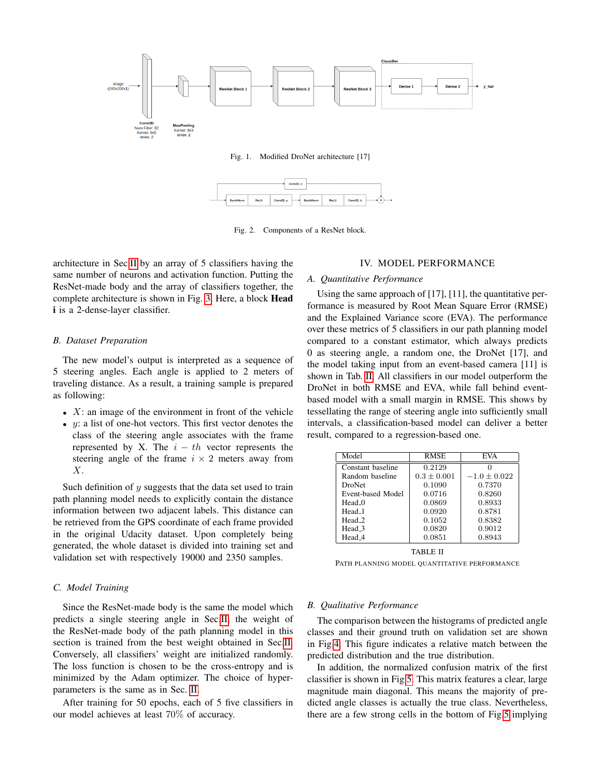

<span id="page-2-1"></span>Fig. 1. Modified DroNet architecture [17]



<span id="page-2-2"></span>Fig. 2. Components of a ResNet block.

architecture in Sec[.II](#page-1-0) by an array of 5 classifiers having the same number of neurons and activation function. Putting the ResNet-made body and the array of classifiers together, the complete architecture is shown in Fig. [3.](#page-3-2) Here, a block Head i is a 2-dense-layer classifier.

#### *B. Dataset Preparation*

The new model's output is interpreted as a sequence of 5 steering angles. Each angle is applied to 2 meters of traveling distance. As a result, a training sample is prepared as following:

- $X$ : an image of the environment in front of the vehicle
- $y$ : a list of one-hot vectors. This first vector denotes the class of the steering angle associates with the frame represented by X. The  $i - th$  vector represents the steering angle of the frame  $i \times 2$  meters away from X.

Such definition of  $y$  suggests that the data set used to train path planning model needs to explicitly contain the distance information between two adjacent labels. This distance can be retrieved from the GPS coordinate of each frame provided in the original Udacity dataset. Upon completely being generated, the whole dataset is divided into training set and validation set with respectively 19000 and 2350 samples.

## *C. Model Training*

Since the ResNet-made body is the same the model which predicts a single steering angle in Sec[.II,](#page-1-0) the weight of the ResNet-made body of the path planning model in this section is trained from the best weight obtained in Sec[.II.](#page-1-0) Conversely, all classifiers' weight are initialized randomly. The loss function is chosen to be the cross-entropy and is minimized by the Adam optimizer. The choice of hyperparameters is the same as in Sec. [II.](#page-1-0)

After training for 50 epochs, each of 5 five classifiers in our model achieves at least 70% of accuracy.

#### IV. MODEL PERFORMANCE

#### <span id="page-2-0"></span>*A. Quantitative Performance*

Using the same approach of [17], [11], the quantitative performance is measured by Root Mean Square Error (RMSE) and the Explained Variance score (EVA). The performance over these metrics of 5 classifiers in our path planning model compared to a constant estimator, which always predicts 0 as steering angle, a random one, the DroNet [17], and the model taking input from an event-based camera [11] is shown in Tab. [II.](#page-2-3) All classifiers in our model outperform the DroNet in both RMSE and EVA, while fall behind eventbased model with a small margin in RMSE. This shows by tessellating the range of steering angle into sufficiently small intervals, a classification-based model can deliver a better result, compared to a regression-based one.

| Model              | RMSE          | <b>EVA</b>       |
|--------------------|---------------|------------------|
| Constant baseline  | 0.2129        |                  |
| Random baseline    | $0.3 + 0.001$ | $-1.0 \pm 0.022$ |
| DroNet             | 0.1090        | 0.7370           |
| Event-based Model  | 0.0716        | 0.8260           |
| Head 0             | 0.0869        | 0.8933           |
| Head_1             | 0.0920        | 0.8781           |
| Head <sub>-2</sub> | 0.1052        | 0.8382           |
| Head_3             | 0.0820        | 0.9012           |
| Head_4             | 0.0851        | 0.8943           |

TABLE II

<span id="page-2-3"></span>PATH PLANNING MODEL QUANTITATIVE PERFORMANCE

#### *B. Qualitative Performance*

The comparison between the histograms of predicted angle classes and their ground truth on validation set are shown in Fig[.4.](#page-3-1) This figure indicates a relative match between the predicted distribution and the true distribution.

In addition, the normalized confusion matrix of the first classifier is shown in Fig[.5.](#page-3-3) This matrix features a clear, large magnitude main diagonal. This means the majority of predicted angle classes is actually the true class. Nevertheless, there are a few strong cells in the bottom of Fig[.5](#page-3-3) implying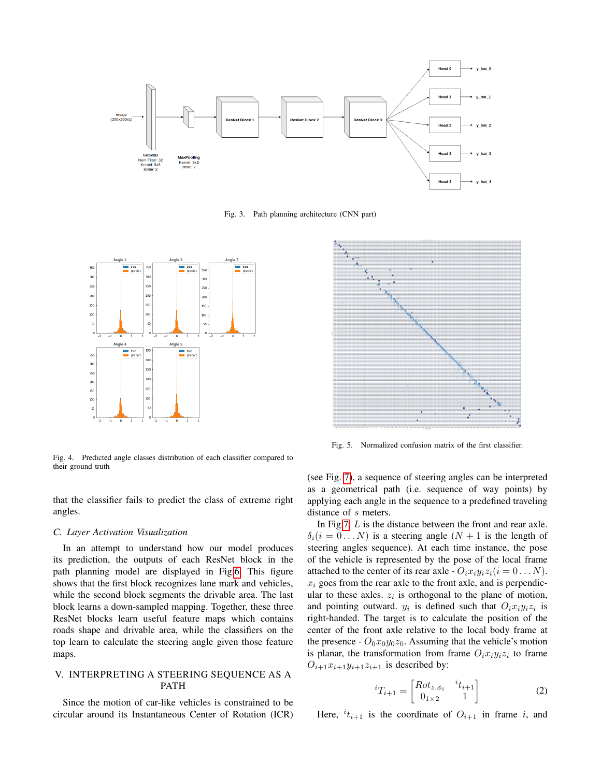

<span id="page-3-2"></span>Fig. 3. Path planning architecture (CNN part)



<span id="page-3-1"></span>Fig. 4. Predicted angle classes distribution of each classifier compared to their ground truth

that the classifier fails to predict the class of extreme right angles.

#### *C. Layer Activation Visualization*

In an attempt to understand how our model produces its prediction, the outputs of each ResNet block in the path planning model are displayed in Fig[.6.](#page-4-1) This figure shows that the first block recognizes lane mark and vehicles, while the second block segments the drivable area. The last block learns a down-sampled mapping. Together, these three ResNet blocks learn useful feature maps which contains roads shape and drivable area, while the classifiers on the top learn to calculate the steering angle given those feature maps.

# <span id="page-3-0"></span>V. INTERPRETING A STEERING SEQUENCE AS A PATH

Since the motion of car-like vehicles is constrained to be circular around its Instantaneous Center of Rotation (ICR)



<span id="page-3-3"></span>Fig. 5. Normalized confusion matrix of the first classifier.

(see Fig. [7\)](#page-4-2), a sequence of steering angles can be interpreted as a geometrical path (i.e. sequence of way points) by applying each angle in the sequence to a predefined traveling distance of s meters.

In Fig[.7,](#page-4-2) L is the distance between the front and rear axle.  $\delta_i(i = 0...N)$  is a steering angle  $(N + 1)$  is the length of steering angles sequence). At each time instance, the pose of the vehicle is represented by the pose of the local frame attached to the center of its rear axle -  $O_i x_i y_i z_i (i = 0 \dots N)$ .  $x_i$  goes from the rear axle to the front axle, and is perpendicular to these axles.  $z_i$  is orthogonal to the plane of motion, and pointing outward.  $y_i$  is defined such that  $O_i x_i y_i z_i$  is right-handed. The target is to calculate the position of the center of the front axle relative to the local body frame at the presence -  $O_0x_0y_0z_0$ . Assuming that the vehicle's motion is planar, the transformation from frame  $O_i x_i y_i z_i$  to frame  $O_{i+1}x_{i+1}y_{i+1}z_{i+1}$  is described by:

<span id="page-3-4"></span>
$$
{}^{i}T_{i+1} = \begin{bmatrix} Rot_{z,\phi_{i}} & {}^{i}t_{i+1} \\ 0_{1\times 2} & 1 \end{bmatrix}
$$
 (2)

Here,  $i t_{i+1}$  is the coordinate of  $O_{i+1}$  in frame i, and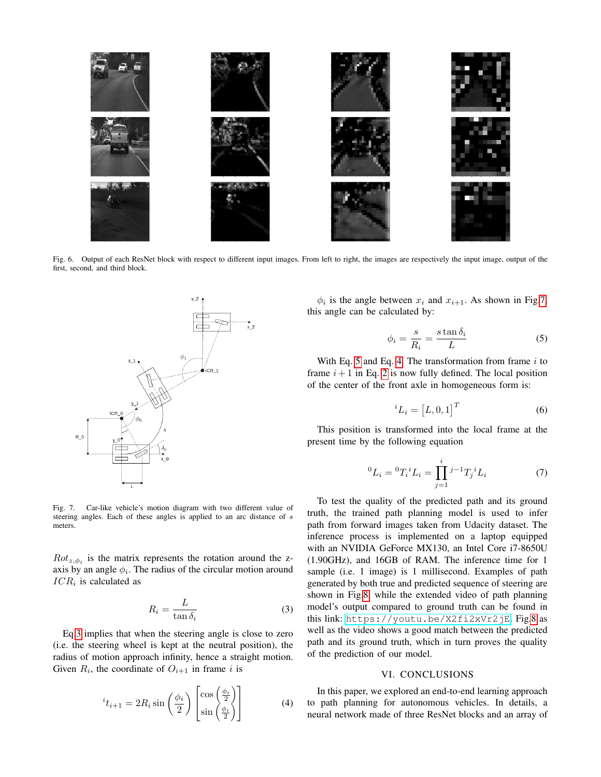

<span id="page-4-1"></span>Fig. 6. Output of each ResNet block with respect to different input images. From left to right, the images are respectively the input image, output of the first, second, and third block.



<span id="page-4-2"></span>Fig. 7. Car-like vehicle's motion diagram with two different value of steering angles. Each of these angles is applied to an arc distance of s meters.

 $Rot_{z, \phi_i}$  is the matrix represents the rotation around the zaxis by an angle  $\phi_i$ . The radius of the circular motion around  $ICR_i$  is calculated as

<span id="page-4-3"></span>
$$
R_i = \frac{L}{\tan \delta_i} \tag{3}
$$

Eq[.3](#page-4-3) implies that when the steering angle is close to zero (i.e. the steering wheel is kept at the neutral position), the radius of motion approach infinity, hence a straight motion. Given  $R_i$ , the coordinate of  $O_{i+1}$  in frame i is

<span id="page-4-5"></span>
$$
{}^{i}t_{i+1} = 2R_{i}\sin\left(\frac{\phi_{i}}{2}\right)\begin{bmatrix}\cos\left(\frac{\phi_{i}}{2}\right)\\ \sin\left(\frac{\phi_{i}}{2}\right)\end{bmatrix}
$$
(4)

 $\phi_i$  is the angle between  $x_i$  and  $x_{i+1}$ . As shown in Fig[.7,](#page-4-2) this angle can be calculated by:

<span id="page-4-4"></span>
$$
\phi_i = \frac{s}{R_i} = \frac{s \tan \delta_i}{L} \tag{5}
$$

With Eq. [5](#page-4-4) and Eq. [4.](#page-4-5) The transformation from frame  $i$  to frame  $i + 1$  in Eq. [2](#page-3-4) is now fully defined. The local position of the center of the front axle in homogeneous form is:

$$
{}^{i}L_{i} = [L, 0, 1]^{T} \tag{6}
$$

This position is transformed into the local frame at the present time by the following equation

$$
{}^{0}L_{i} = {}^{0}T_{i}{}^{i}L_{i} = \prod_{j=1}^{i} {}^{j-1}T_{j}{}^{i}L_{i}
$$
 (7)

To test the quality of the predicted path and its ground truth, the trained path planning model is used to infer path from forward images taken from Udacity dataset. The inference process is implemented on a laptop equipped with an NVIDIA GeForce MX130, an Intel Core i7-8650U (1.90GHz), and 16GB of RAM. The inference time for 1 sample (i.e. 1 image) is 1 millisecond. Examples of path generated by both true and predicted sequence of steering are shown in Fig[.8,](#page-5-0) while the extended video of path planning model's output compared to ground truth can be found in this link: <https://youtu.be/X2fi2xVr2jE>. Fig[.8](#page-5-0) as well as the video shows a good match between the predicted path and its ground truth, which in turn proves the quality of the prediction of our model.

# VI. CONCLUSIONS

<span id="page-4-0"></span>In this paper, we explored an end-to-end learning approach to path planning for autonomous vehicles. In details, a neural network made of three ResNet blocks and an array of